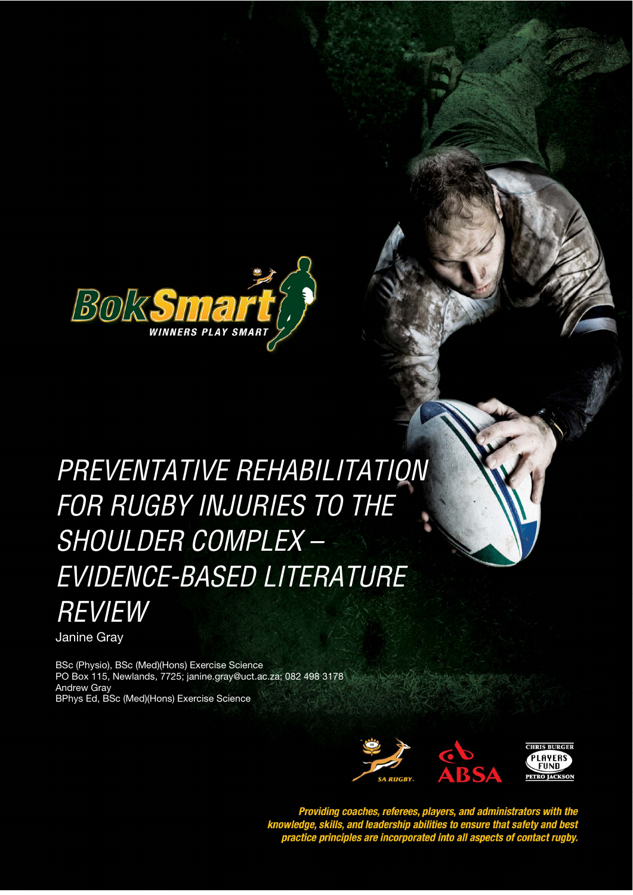

# PREVENTATIVE REHABILITATION *STYLE HEADING FOR TABLES*  FOR RUGBY INJURIES TO THE SHOULDER COMPLEX – EVIDENCE-BASED LITERATURE REVIEW

Preventative Rehabilitation for Rugby Injuries to the Shoulder Complex – Evidence-based Literature Review

Janine Gray

BSc (Physio), BSc (Med)(Hons) Exercise Science PO Box 115, Newlands, 7725; janine.gray@uct.ac.za; 082 498 3178 Andrew Gray BPhys Ed, BSc (Med)(Hons) Exercise Science



Providing coaches, referees, players, and administrators with the<br>knowledge, skills, and leadership abilities to ensure that safety and best<br>practice principles are incorporated into all aspects of contact rugby.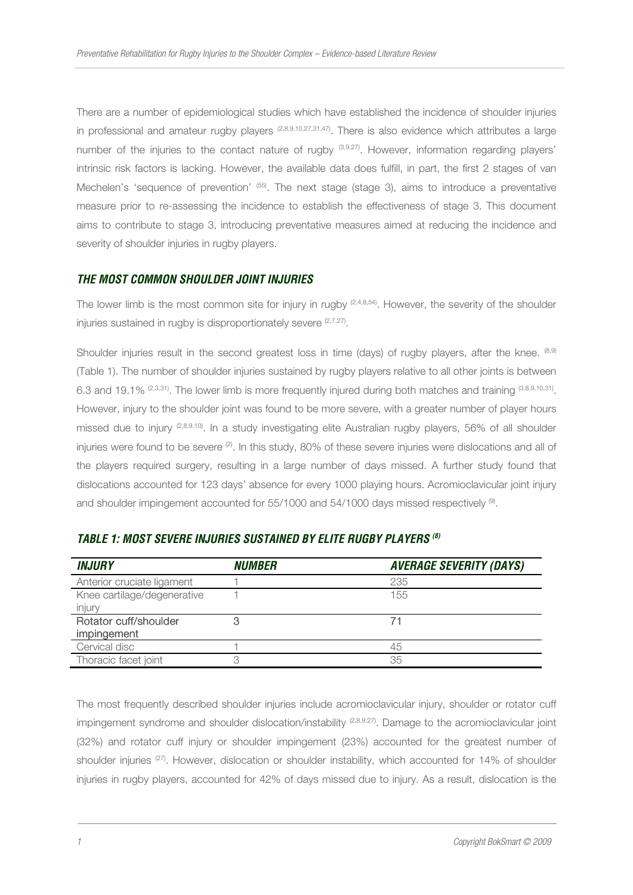There are a number of epidemiological studies which have established the incidence of shoulder injuries in professional and amateur rugby players (2,8,9,10,27,31,47). There is also evidence which attributes a large number of the injuries to the contact nature of rugby (3,9,27). However, information regarding players' intrinsic risk factors is lacking. However, the available data does fulfill, in part, the first 2 stages of van Mechelen's 'sequence of prevention' (55). The next stage (stage 3), aims to introduce a preventative measure prior to re-assessing the incidence to establish the effectiveness of stage 3. This document aims to contribute to stage 3, introducing preventative measures aimed at reducing the incidence and severity of shoulder injuries in rugby players.

## *THE MOST COMMON SHOULDER JOINT INJURIES*

The lower limb is the most common site for injury in rugby  $(2,4,8,54)$ . However, the severity of the shoulder injuries sustained in rugby is disproportionately severe  $(2,7,27)$ .

Shoulder injuries result in the second greatest loss in time (days) of rugby players, after the knee. <sup>(8,9)</sup> (Table 1). The number of shoulder injuries sustained by rugby players relative to all other joints is between 6.3 and 19.1%  $^{(2,3,31)}$ . The lower limb is more frequently injured during both matches and training  $^{(3,8,9,10,31)}$ . However, injury to the shoulder joint was found to be more severe, with a greater number of player hours missed due to injury (2,8,9,10). In a study investigating elite Australian rugby players, 56% of all shoulder injuries were found to be severe  $(2)$ . In this study, 80% of these severe injuries were dislocations and all of the players required surgery, resulting in a large number of days missed. A further study found that dislocations accounted for 123 days' absence for every 1000 playing hours. Acromioclavicular joint injury and shoulder impingement accounted for  $55/1000$  and  $54/1000$  days missed respectively  $^{(9)}$ .

| <b>INJURY</b>               | <i><b>NUMBER</b></i> | <b>AVERAGE SEVERITY (DAYS)</b> |
|-----------------------------|----------------------|--------------------------------|
| Anterior cruciate ligament  |                      | 235                            |
| Knee cartilage/degenerative |                      | 155                            |
| injury                      |                      |                                |
| Rotator cuff/shoulder       | 3                    |                                |
| impingement                 |                      |                                |
| Cervical disc               |                      | 45                             |
| Thoracic facet joint        |                      | 35                             |

## *TABLE 1: MOST SEVERE INJURIES SUSTAINED BY ELITE RUGBY PLAYERS (8)*

The most frequently described shoulder injuries include acromioclavicular injury, shoulder or rotator cuff impingement syndrome and shoulder dislocation/instability (2,8,9,27). Damage to the acromioclavicular joint (32%) and rotator cuff injury or shoulder impingement (23%) accounted for the greatest number of shoulder injuries <sup>(27)</sup>. However, dislocation or shoulder instability, which accounted for 14% of shoulder injuries in rugby players, accounted for 42% of days missed due to injury. As a result, dislocation is the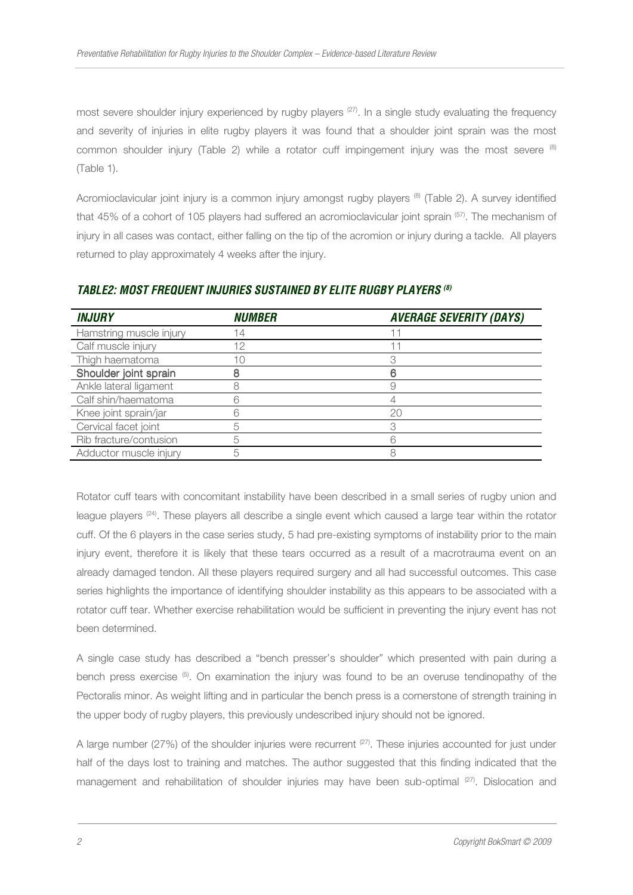most severe shoulder injury experienced by rugby players  $(27)$ . In a single study evaluating the frequency and severity of injuries in elite rugby players it was found that a shoulder joint sprain was the most common shoulder injury (Table 2) while a rotator cuff impingement injury was the most severe  $(8)$ (Table 1).

Acromioclavicular joint injury is a common injury amongst rugby players  $^{(8)}$  (Table 2). A survey identified that 45% of a cohort of 105 players had suffered an acromioclavicular joint sprain (57). The mechanism of injury in all cases was contact, either falling on the tip of the acromion or injury during a tackle. All players returned to play approximately 4 weeks after the injury.

| <b>INJURY</b>           | <b>NIJMBER</b> | <b>AVERAGE SEVERITY (DAYS)</b> |
|-------------------------|----------------|--------------------------------|
| Hamstring muscle injury | 14             |                                |
| Calf muscle injury      | 12             |                                |
| Thigh haematoma         | 10             |                                |
| Shoulder joint sprain   |                |                                |
| Ankle lateral ligament  |                |                                |
| Calf shin/haematoma     |                |                                |
| Knee joint sprain/jar   |                | 20                             |
| Cervical facet joint    | 5              |                                |
| Rib fracture/contusion  |                |                                |
| Adductor muscle injury  | 5              |                                |

#### *TABLE2: MOST FREQUENT INJURIES SUSTAINED BY ELITE RUGBY PLAYERS (8)*

Rotator cuff tears with concomitant instability have been described in a small series of rugby union and league players (24). These players all describe a single event which caused a large tear within the rotator cuff. Of the 6 players in the case series study, 5 had pre-existing symptoms of instability prior to the main injury event, therefore it is likely that these tears occurred as a result of a macrotrauma event on an already damaged tendon. All these players required surgery and all had successful outcomes. This case series highlights the importance of identifying shoulder instability as this appears to be associated with a rotator cuff tear. Whether exercise rehabilitation would be sufficient in preventing the injury event has not been determined.

A single case study has described a "bench presser's shoulder" which presented with pain during a bench press exercise  $(5)$ . On examination the injury was found to be an overuse tendinopathy of the Pectoralis minor. As weight lifting and in particular the bench press is a cornerstone of strength training in the upper body of rugby players, this previously undescribed injury should not be ignored.

A large number (27%) of the shoulder injuries were recurrent  $(27)$ . These injuries accounted for just under half of the days lost to training and matches. The author suggested that this finding indicated that the management and rehabilitation of shoulder injuries may have been sub-optimal (27). Dislocation and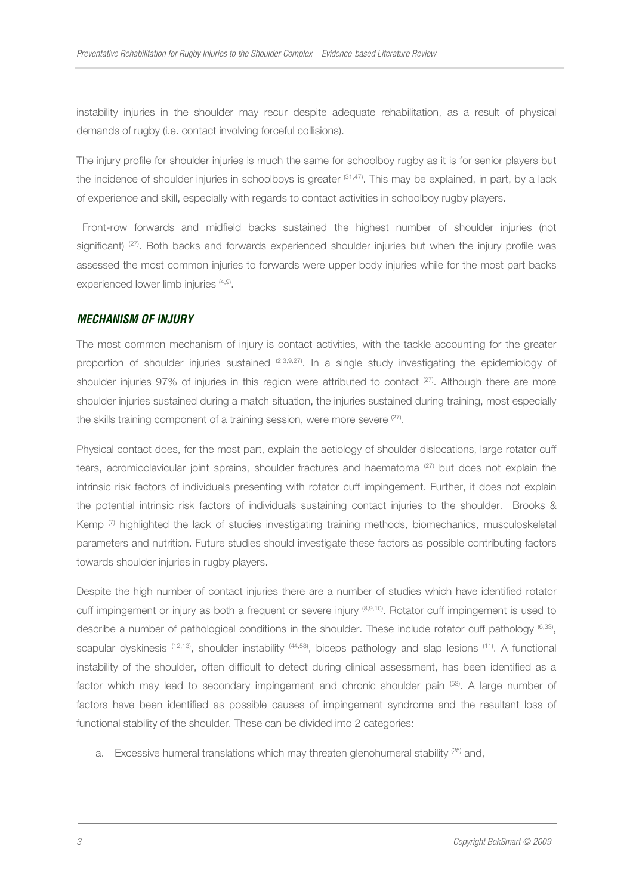instability injuries in the shoulder may recur despite adequate rehabilitation, as a result of physical demands of rugby (i.e. contact involving forceful collisions).

The injury profile for shoulder injuries is much the same for schoolboy rugby as it is for senior players but the incidence of shoulder injuries in schoolboys is greater  $(31,47)$ . This may be explained, in part, by a lack of experience and skill, especially with regards to contact activities in schoolboy rugby players.

 Front-row forwards and midfield backs sustained the highest number of shoulder injuries (not significant) <sup>(27)</sup>. Both backs and forwards experienced shoulder injuries but when the injury profile was assessed the most common injuries to forwards were upper body injuries while for the most part backs experienced lower limb injuries <sup>(4,9)</sup>.

#### *MECHANISM OF INJURY*

The most common mechanism of injury is contact activities, with the tackle accounting for the greater proportion of shoulder injuries sustained  $(2,3,9,27)$ . In a single study investigating the epidemiology of shoulder injuries 97% of injuries in this region were attributed to contact (27). Although there are more shoulder injuries sustained during a match situation, the injuries sustained during training, most especially the skills training component of a training session, were more severe <sup>(27)</sup>.

Physical contact does, for the most part, explain the aetiology of shoulder dislocations, large rotator cuff tears, acromioclavicular joint sprains, shoulder fractures and haematoma  $(27)$  but does not explain the intrinsic risk factors of individuals presenting with rotator cuff impingement. Further, it does not explain the potential intrinsic risk factors of individuals sustaining contact injuries to the shoulder. Brooks & Kemp  $(7)$  highlighted the lack of studies investigating training methods, biomechanics, musculoskeletal parameters and nutrition. Future studies should investigate these factors as possible contributing factors towards shoulder injuries in rugby players.

Despite the high number of contact injuries there are a number of studies which have identified rotator cuff impingement or injury as both a frequent or severe injury (8,9,10). Rotator cuff impingement is used to describe a number of pathological conditions in the shoulder. These include rotator cuff pathology <sup>(6,33)</sup>, scapular dyskinesis <sup>(12,13)</sup>, shoulder instability <sup>(44,58)</sup>, biceps pathology and slap lesions <sup>(11)</sup>. A functional instability of the shoulder, often difficult to detect during clinical assessment, has been identified as a factor which may lead to secondary impingement and chronic shoulder pain (53). A large number of factors have been identified as possible causes of impingement syndrome and the resultant loss of functional stability of the shoulder. These can be divided into 2 categories:

a. Excessive humeral translations which may threaten glenohumeral stability  $^{(25)}$  and,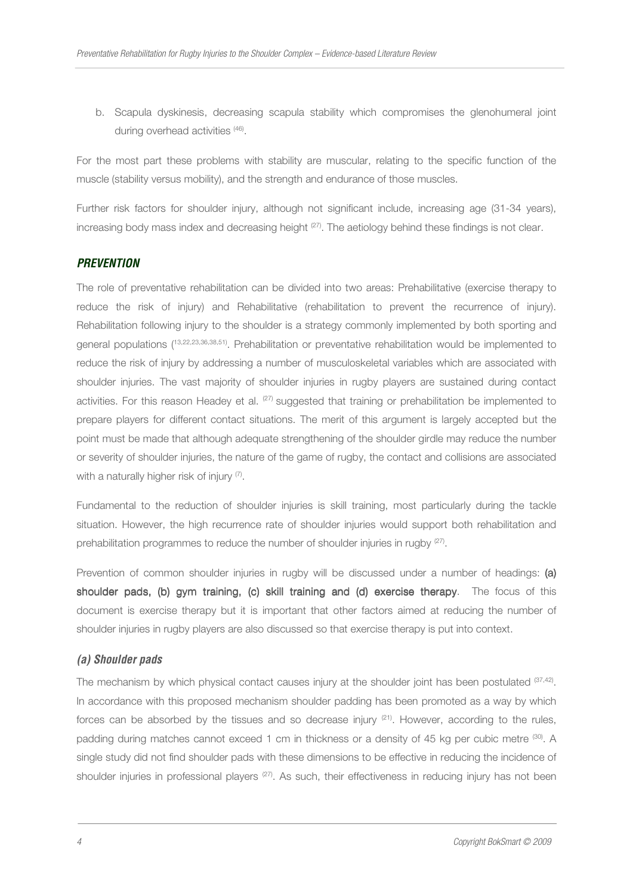b. Scapula dyskinesis, decreasing scapula stability which compromises the glenohumeral joint during overhead activities (46).

For the most part these problems with stability are muscular, relating to the specific function of the muscle (stability versus mobility), and the strength and endurance of those muscles.

Further risk factors for shoulder injury, although not significant include, increasing age (31-34 years), increasing body mass index and decreasing height (27). The aetiology behind these findings is not clear.

## *PREVENTION*

The role of preventative rehabilitation can be divided into two areas: Prehabilitative (exercise therapy to reduce the risk of injury) and Rehabilitative (rehabilitation to prevent the recurrence of injury). Rehabilitation following injury to the shoulder is a strategy commonly implemented by both sporting and general populations (13,22,23,36,38,51). Prehabilitation or preventative rehabilitation would be implemented to reduce the risk of injury by addressing a number of musculoskeletal variables which are associated with shoulder injuries. The vast majority of shoulder injuries in rugby players are sustained during contact activities. For this reason Headey et al. <sup>(27)</sup> suggested that training or prehabilitation be implemented to prepare players for different contact situations. The merit of this argument is largely accepted but the point must be made that although adequate strengthening of the shoulder girdle may reduce the number or severity of shoulder injuries, the nature of the game of rugby, the contact and collisions are associated with a naturally higher risk of injury (7).

Fundamental to the reduction of shoulder injuries is skill training, most particularly during the tackle situation. However, the high recurrence rate of shoulder injuries would support both rehabilitation and prehabilitation programmes to reduce the number of shoulder injuries in rugby <sup>(27)</sup>.

Prevention of common shoulder injuries in rugby will be discussed under a number of headings: (a) shoulder pads, (b) gym training, (c) skill training and (d) exercise the rapy. The focus of this document is exercise therapy but it is important that other factors aimed at reducing the number of shoulder injuries in rugby players are also discussed so that exercise therapy is put into context.

## *(a) Shoulder pads*

The mechanism by which physical contact causes injury at the shoulder joint has been postulated <sup>(37,42)</sup>. In accordance with this proposed mechanism shoulder padding has been promoted as a way by which forces can be absorbed by the tissues and so decrease injury  $(21)$ . However, according to the rules, padding during matches cannot exceed 1 cm in thickness or a density of 45 kg per cubic metre (30). A single study did not find shoulder pads with these dimensions to be effective in reducing the incidence of shoulder injuries in professional players (27). As such, their effectiveness in reducing injury has not been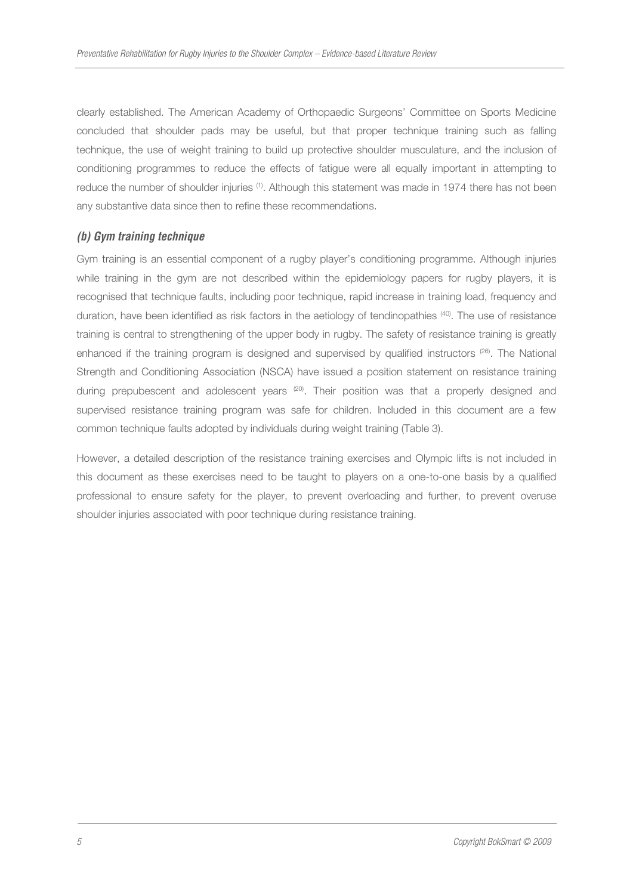clearly established. The American Academy of Orthopaedic Surgeons' Committee on Sports Medicine concluded that shoulder pads may be useful, but that proper technique training such as falling technique, the use of weight training to build up protective shoulder musculature, and the inclusion of conditioning programmes to reduce the effects of fatigue were all equally important in attempting to reduce the number of shoulder injuries <sup>(1)</sup>. Although this statement was made in 1974 there has not been any substantive data since then to refine these recommendations.

## *(b) Gym training technique*

Gym training is an essential component of a rugby player's conditioning programme. Although injuries while training in the gym are not described within the epidemiology papers for rugby players, it is recognised that technique faults, including poor technique, rapid increase in training load, frequency and duration, have been identified as risk factors in the aetiology of tendinopathies (40). The use of resistance training is central to strengthening of the upper body in rugby. The safety of resistance training is greatly enhanced if the training program is designed and supervised by qualified instructors  $(26)$ . The National Strength and Conditioning Association (NSCA) have issued a position statement on resistance training during prepubescent and adolescent years  $^{(20)}$ . Their position was that a properly designed and supervised resistance training program was safe for children. Included in this document are a few common technique faults adopted by individuals during weight training (Table 3).

However, a detailed description of the resistance training exercises and Olympic lifts is not included in this document as these exercises need to be taught to players on a one-to-one basis by a qualified professional to ensure safety for the player, to prevent overloading and further, to prevent overuse shoulder injuries associated with poor technique during resistance training.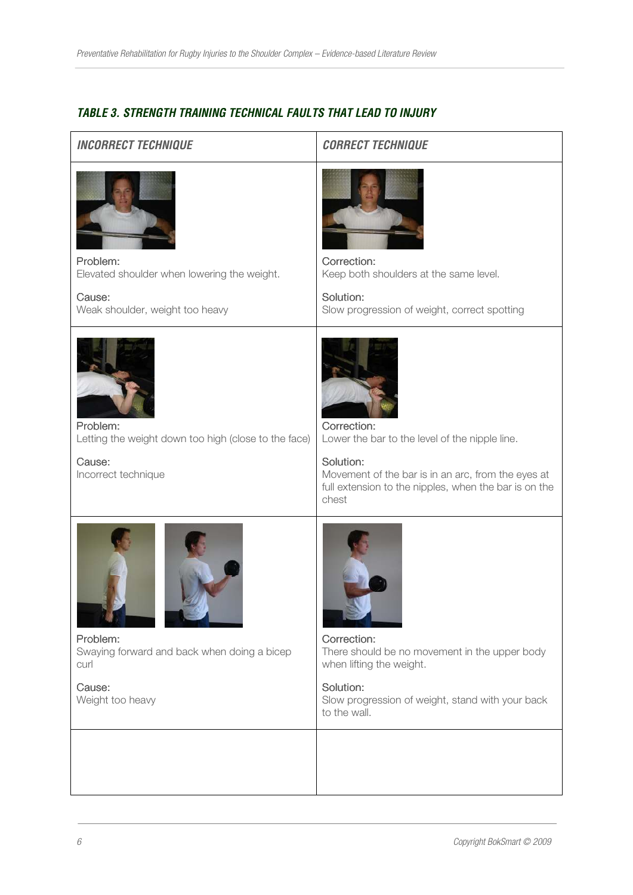# *TABLE 3. STRENGTH TRAINING TECHNICAL FAULTS THAT LEAD TO INJURY*

| <b>INCORRECT TECHNIQUE</b>                                                                           | <b>CORRECT TECHNIQUE</b>                                                                                                                                                                           |
|------------------------------------------------------------------------------------------------------|----------------------------------------------------------------------------------------------------------------------------------------------------------------------------------------------------|
| Problem:<br>Elevated shoulder when lowering the weight.<br>Cause:<br>Weak shoulder, weight too heavy | Correction:<br>Keep both shoulders at the same level.<br>Solution:<br>Slow progression of weight, correct spotting                                                                                 |
| Problem:<br>Letting the weight down too high (close to the face)<br>Cause:<br>Incorrect technique    | Correction:<br>Lower the bar to the level of the nipple line.<br>Solution:<br>Movement of the bar is in an arc, from the eyes at<br>full extension to the nipples, when the bar is on the<br>chest |
| Problem:<br>Swaying forward and back when doing a bicep<br>curl<br>Cause:<br>Weight too heavy        | Correction:<br>There should be no movement in the upper body<br>when lifting the weight.<br>Solution:<br>Slow progression of weight, stand with your back<br>to the wall.                          |
|                                                                                                      |                                                                                                                                                                                                    |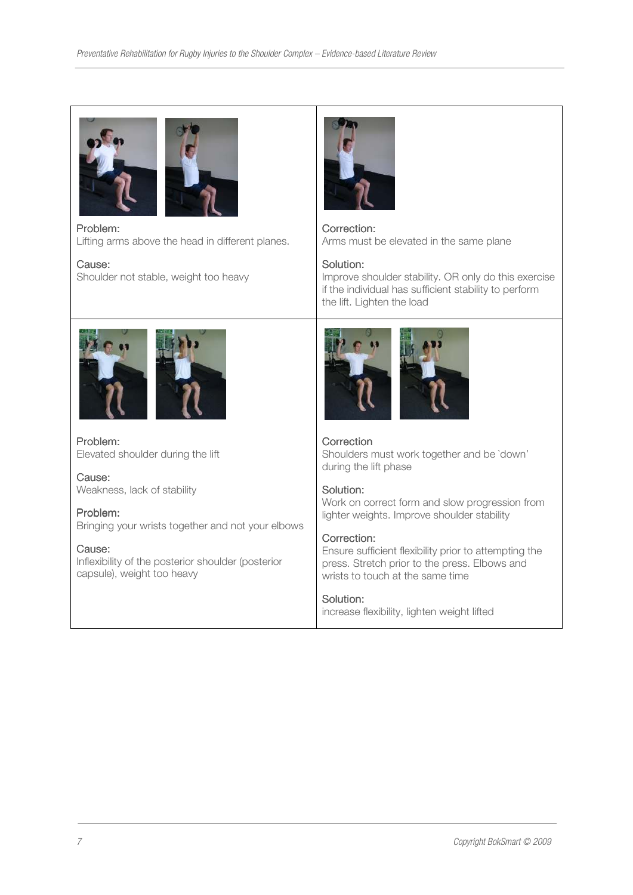

Problem: Lifting arms above the head in different planes.

Cause: Shoulder not stable, weight too heavy



Correction: Arms must be elevated in the same plane

## Solution:

Improve shoulder stability. OR only do this exercise if the individual has sufficient stability to perform the lift. Lighten the load





Problem: Elevated shoulder during the lift

Cause: Weakness, lack of stability

Problem: Bringing your wrists together and not your elbows

Cause: Inflexibility of the posterior shoulder (posterior capsule), weight too heavy



**Correction** Shoulders must work together and be `down' during the lift phase

## Solution:

Work on correct form and slow progression from lighter weights. Improve shoulder stability

## Correction:

Ensure sufficient flexibility prior to attempting the press. Stretch prior to the press. Elbows and wrists to touch at the same time

## Solution:

increase flexibility, lighten weight lifted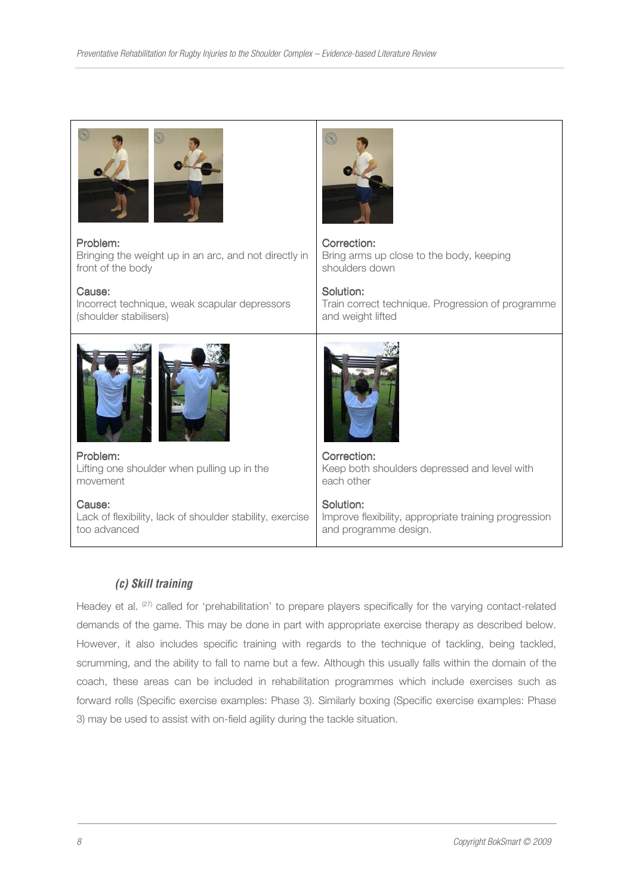#### Problem:

Bringing the weight up in an arc, and not directly in front of the body

#### Cause:

Incorrect technique, weak scapular depressors (shoulder stabilisers)



Problem: Lifting one shoulder when pulling up in the movement

Cause: Lack of flexibility, lack of shoulder stability, exercise too advanced



#### Correction: Bring arms up close to the body, keeping shoulders down

Solution: Train correct technique. Progression of programme and weight lifted



Correction: Keep both shoulders depressed and level with each other

Solution: Improve flexibility, appropriate training progression and programme design.

# *(c) Skill training*

Headey et al. <sup>(27)</sup> called for 'prehabilitation' to prepare players specifically for the varying contact-related demands of the game. This may be done in part with appropriate exercise therapy as described below. However, it also includes specific training with regards to the technique of tackling, being tackled, scrumming, and the ability to fall to name but a few. Although this usually falls within the domain of the coach, these areas can be included in rehabilitation programmes which include exercises such as forward rolls (Specific exercise examples: Phase 3). Similarly boxing (Specific exercise examples: Phase 3) may be used to assist with on-field agility during the tackle situation.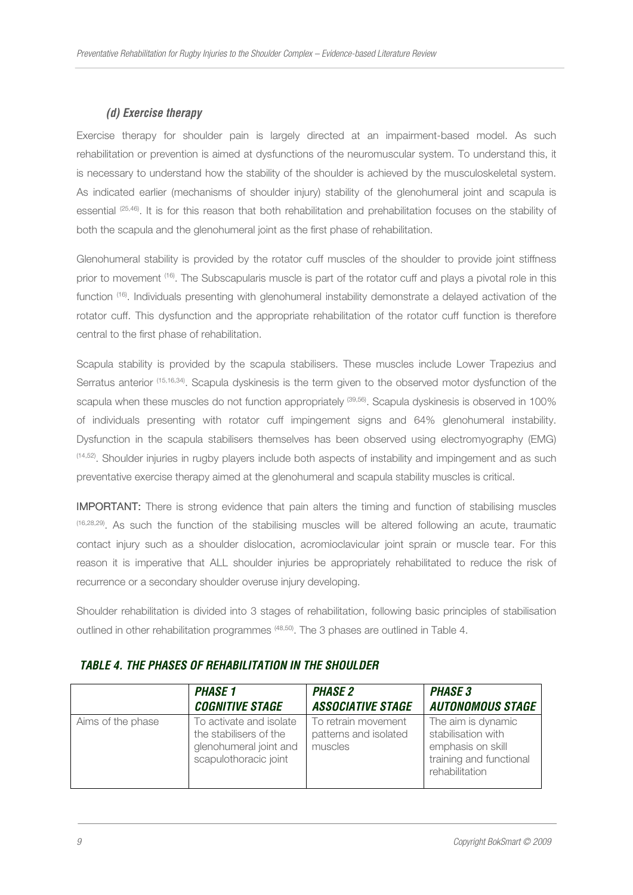# *(d) Exercise therapy*

Exercise therapy for shoulder pain is largely directed at an impairment-based model. As such rehabilitation or prevention is aimed at dysfunctions of the neuromuscular system. To understand this, it is necessary to understand how the stability of the shoulder is achieved by the musculoskeletal system. As indicated earlier (mechanisms of shoulder injury) stability of the glenohumeral joint and scapula is essential (25,46). It is for this reason that both rehabilitation and prehabilitation focuses on the stability of both the scapula and the glenohumeral joint as the first phase of rehabilitation.

Glenohumeral stability is provided by the rotator cuff muscles of the shoulder to provide joint stiffness prior to movement (16). The Subscapularis muscle is part of the rotator cuff and plays a pivotal role in this function (16). Individuals presenting with glenohumeral instability demonstrate a delayed activation of the rotator cuff. This dysfunction and the appropriate rehabilitation of the rotator cuff function is therefore central to the first phase of rehabilitation.

Scapula stability is provided by the scapula stabilisers. These muscles include Lower Trapezius and Serratus anterior (15,16,34). Scapula dyskinesis is the term given to the observed motor dysfunction of the scapula when these muscles do not function appropriately <sup>(39,56)</sup>. Scapula dyskinesis is observed in 100% of individuals presenting with rotator cuff impingement signs and 64% glenohumeral instability. Dysfunction in the scapula stabilisers themselves has been observed using electromyography (EMG) (14,52). Shoulder injuries in rugby players include both aspects of instability and impingement and as such preventative exercise therapy aimed at the glenohumeral and scapula stability muscles is critical.

**IMPORTANT:** There is strong evidence that pain alters the timing and function of stabilising muscles (16,28,29). As such the function of the stabilising muscles will be altered following an acute, traumatic contact injury such as a shoulder dislocation, acromioclavicular joint sprain or muscle tear. For this reason it is imperative that ALL shoulder injuries be appropriately rehabilitated to reduce the risk of recurrence or a secondary shoulder overuse injury developing.

Shoulder rehabilitation is divided into 3 stages of rehabilitation, following basic principles of stabilisation outlined in other rehabilitation programmes (48,50). The 3 phases are outlined in Table 4.

|                   | <b>PHASE 1</b>                                                                                       | <b>PHASE 2</b>                                          | <b>PHASE 3</b>                                                                                             |
|-------------------|------------------------------------------------------------------------------------------------------|---------------------------------------------------------|------------------------------------------------------------------------------------------------------------|
|                   | <b>COGNITIVE STAGE</b>                                                                               | <b>ASSOCIATIVE STAGE</b>                                | <b>AUTONOMOUS STAGE</b>                                                                                    |
| Aims of the phase | To activate and isolate<br>the stabilisers of the<br>glenohumeral joint and<br>scapulothoracic joint | To retrain movement<br>patterns and isolated<br>muscles | The aim is dynamic<br>stabilisation with<br>emphasis on skill<br>training and functional<br>rehabilitation |

## *TABLE 4. THE PHASES OF REHABILITATION IN THE SHOULDER*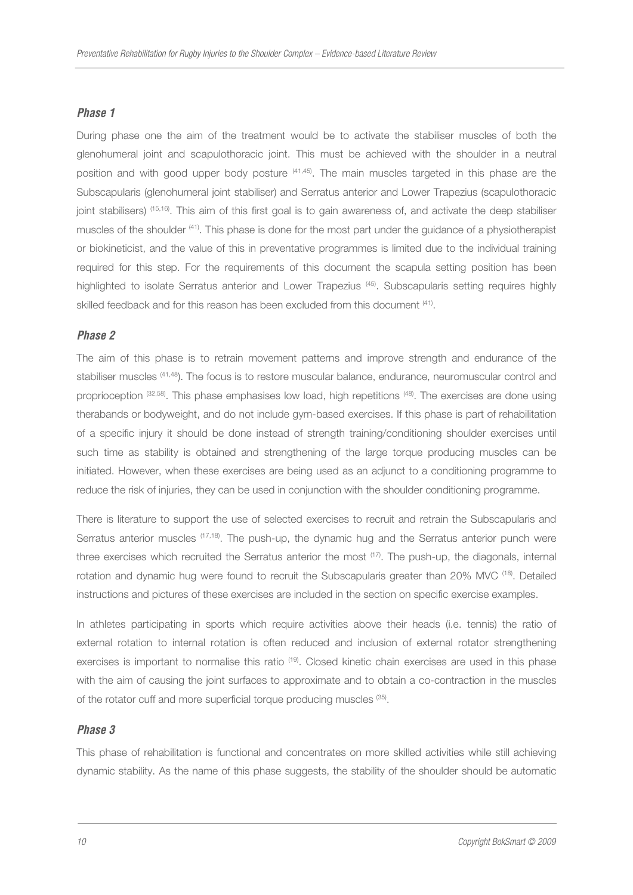#### *Phase 1*

During phase one the aim of the treatment would be to activate the stabiliser muscles of both the glenohumeral joint and scapulothoracic joint. This must be achieved with the shoulder in a neutral position and with good upper body posture <sup>(41,45)</sup>. The main muscles targeted in this phase are the Subscapularis (glenohumeral joint stabiliser) and Serratus anterior and Lower Trapezius (scapulothoracic joint stabilisers) (15,16). This aim of this first goal is to gain awareness of, and activate the deep stabiliser muscles of the shoulder (41). This phase is done for the most part under the guidance of a physiotherapist or biokineticist, and the value of this in preventative programmes is limited due to the individual training required for this step. For the requirements of this document the scapula setting position has been highlighted to isolate Serratus anterior and Lower Trapezius<sup>(45)</sup>. Subscapularis setting requires highly skilled feedback and for this reason has been excluded from this document <sup>(41)</sup>.

#### *Phase 2*

The aim of this phase is to retrain movement patterns and improve strength and endurance of the stabiliser muscles (41,48). The focus is to restore muscular balance, endurance, neuromuscular control and proprioception (32,58). This phase emphasises low load, high repetitions (48). The exercises are done using therabands or bodyweight, and do not include gym-based exercises. If this phase is part of rehabilitation of a specific injury it should be done instead of strength training/conditioning shoulder exercises until such time as stability is obtained and strengthening of the large torque producing muscles can be initiated. However, when these exercises are being used as an adjunct to a conditioning programme to reduce the risk of injuries, they can be used in conjunction with the shoulder conditioning programme.

There is literature to support the use of selected exercises to recruit and retrain the Subscapularis and Serratus anterior muscles (17,18). The push-up, the dynamic hug and the Serratus anterior punch were three exercises which recruited the Serratus anterior the most <sup>(17)</sup>. The push-up, the diagonals, internal rotation and dynamic hug were found to recruit the Subscapularis greater than 20% MVC <sup>(18)</sup>. Detailed instructions and pictures of these exercises are included in the section on specific exercise examples.

In athletes participating in sports which require activities above their heads (i.e. tennis) the ratio of external rotation to internal rotation is often reduced and inclusion of external rotator strengthening exercises is important to normalise this ratio <sup>(19)</sup>. Closed kinetic chain exercises are used in this phase with the aim of causing the joint surfaces to approximate and to obtain a co-contraction in the muscles of the rotator cuff and more superficial torque producing muscles <sup>(35)</sup>.

#### *Phase 3*

This phase of rehabilitation is functional and concentrates on more skilled activities while still achieving dynamic stability. As the name of this phase suggests, the stability of the shoulder should be automatic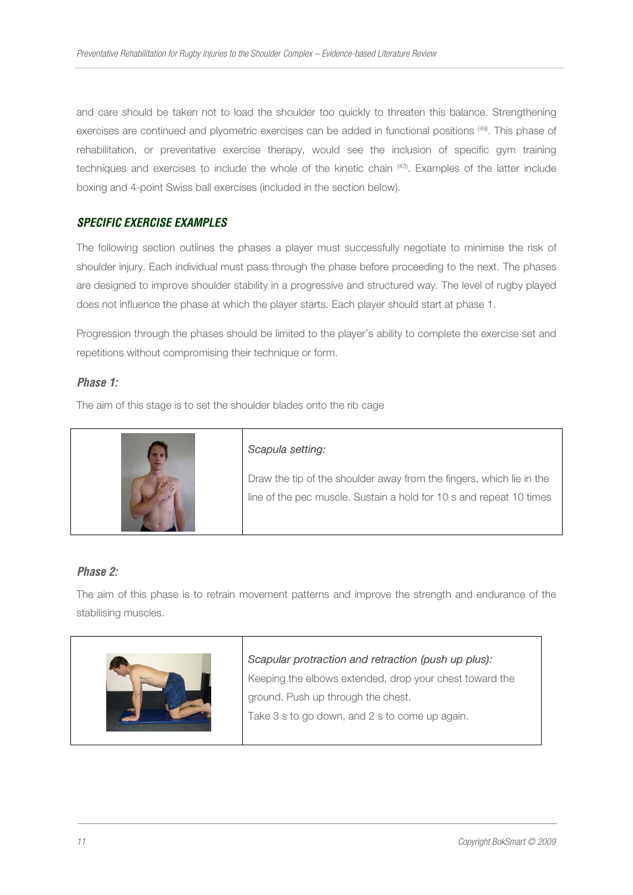and care should be taken not to load the shoulder too quickly to threaten this balance. Strengthening exercises are continued and plyometric exercises can be added in functional positions (49). This phase of rehabilitation, or preventative exercise therapy, would see the inclusion of specific gym training techniques and exercises to include the whole of the kinetic chain (43). Examples of the latter include boxing and 4-point Swiss ball exercises (included in the section below).

## *SPECIFIC EXERCISE EXAMPLES*

The following section outlines the phases a player must successfully negotiate to minimise the risk of shoulder injury. Each individual must pass through the phase before proceeding to the next. The phases are designed to improve shoulder stability in a progressive and structured way. The level of rugby played does not influence the phase at which the player starts. Each player should start at phase 1.

Progression through the phases should be limited to the player's ability to complete the exercise set and repetitions without compromising their technique or form.

## *Phase 1:*

The aim of this stage is to set the shoulder blades onto the rib cage



## *Phase 2:*

The aim of this phase is to retrain movement patterns and improve the strength and endurance of the stabilising muscles.



#### Scapular protraction and retraction (push up plus):

Keeping the elbows extended, drop your chest toward the ground. Push up through the chest.

Take 3 s to go down, and 2 s to come up again.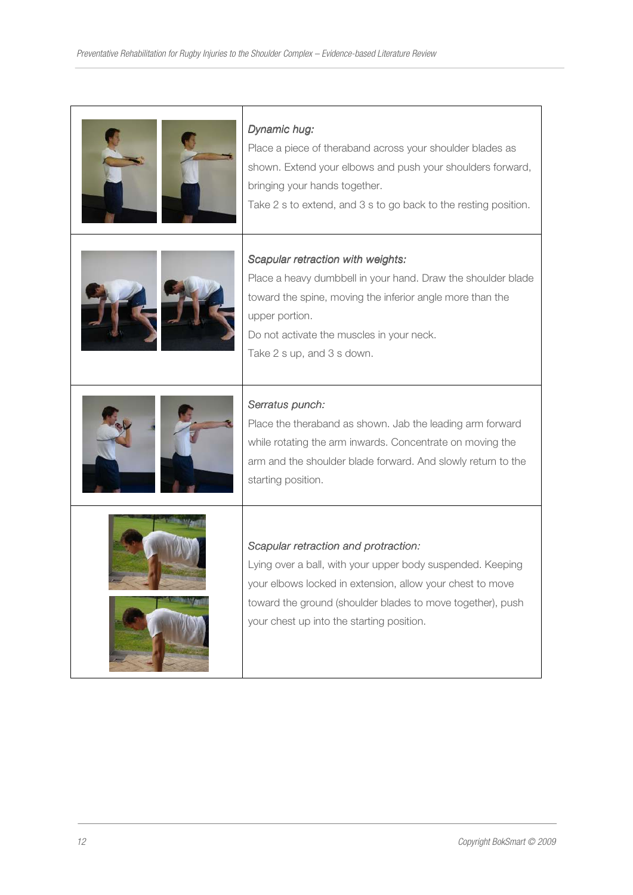| Dynamic hug:<br>Place a piece of theraband across your shoulder blades as<br>shown. Extend your elbows and push your shoulders forward,<br>bringing your hands together.<br>Take 2 s to extend, and 3 s to go back to the resting position.                                |
|----------------------------------------------------------------------------------------------------------------------------------------------------------------------------------------------------------------------------------------------------------------------------|
| Scapular retraction with weights:<br>Place a heavy dumbbell in your hand. Draw the shoulder blade<br>toward the spine, moving the inferior angle more than the<br>upper portion.<br>Do not activate the muscles in your neck.<br>Take 2 s up, and 3 s down.                |
| Serratus punch:<br>Place the theraband as shown. Jab the leading arm forward<br>while rotating the arm inwards. Concentrate on moving the<br>arm and the shoulder blade forward. And slowly return to the<br>starting position.                                            |
| Scapular retraction and protraction:<br>Lying over a ball, with your upper body suspended. Keeping<br>your elbows locked in extension, allow your chest to move<br>toward the ground (shoulder blades to move together), push<br>your chest up into the starting position. |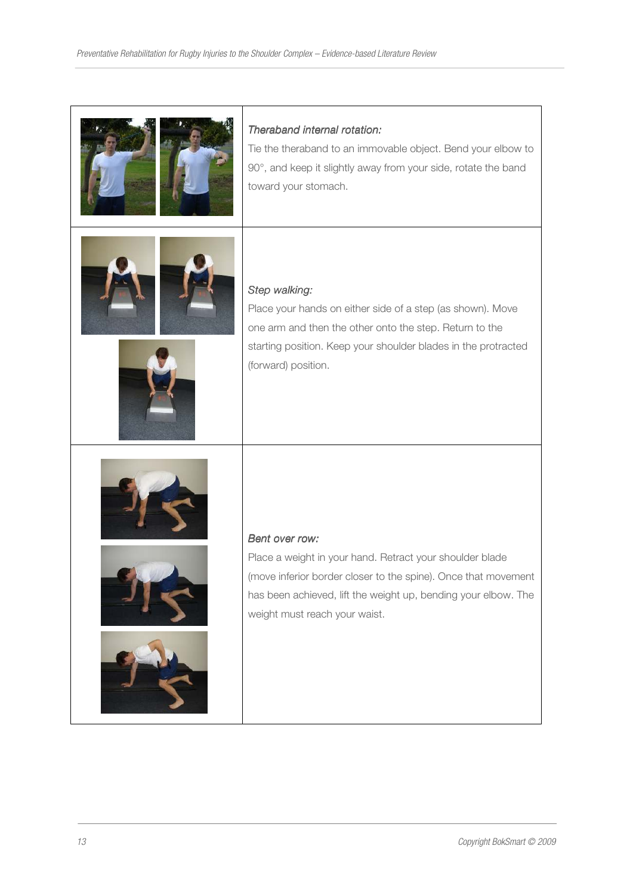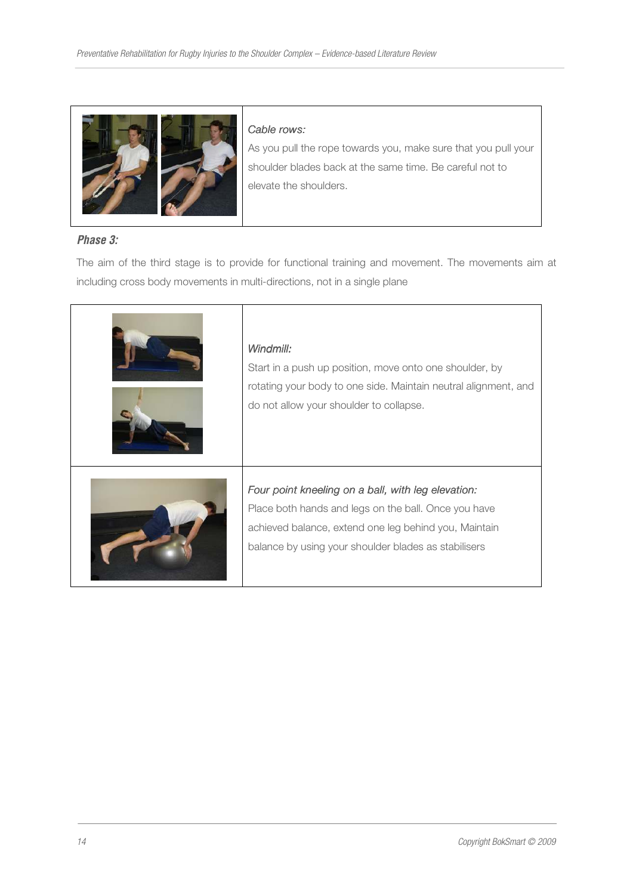

#### Cable rows:

As you pull the rope towards you, make sure that you pull your shoulder blades back at the same time. Be careful not to elevate the shoulders.

# *Phase 3:*

The aim of the third stage is to provide for functional training and movement. The movements aim at including cross body movements in multi-directions, not in a single plane

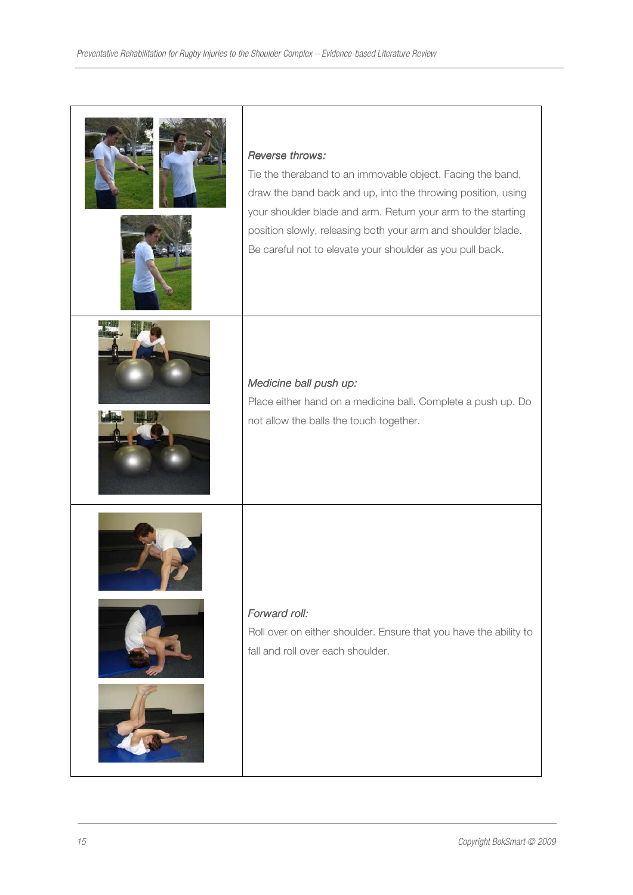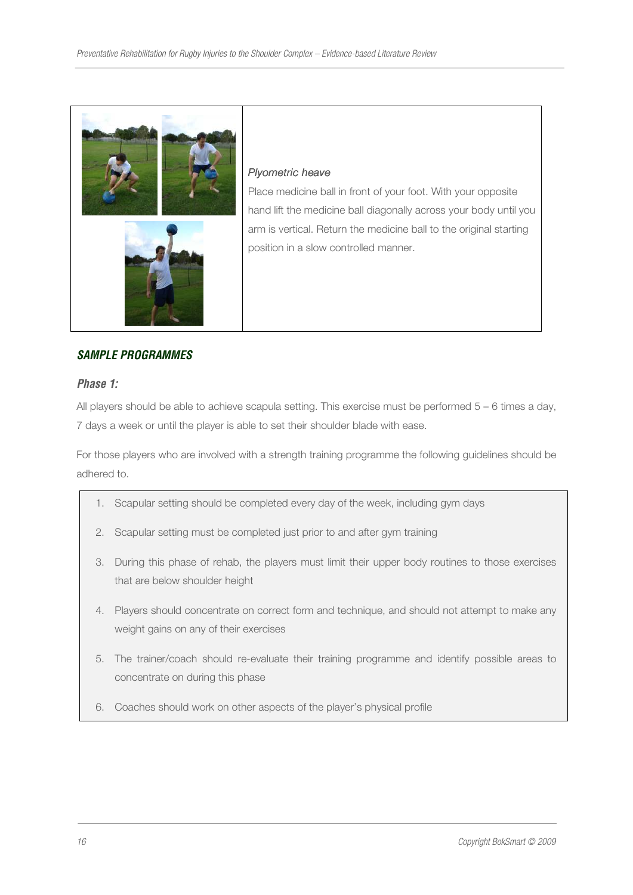

#### Plyometric heave

Place medicine ball in front of your foot. With your opposite hand lift the medicine ball diagonally across your body until you arm is vertical. Return the medicine ball to the original starting position in a slow controlled manner.

## *SAMPLE PROGRAMMES*

#### *Phase 1:*

All players should be able to achieve scapula setting. This exercise must be performed 5 – 6 times a day, 7 days a week or until the player is able to set their shoulder blade with ease.

For those players who are involved with a strength training programme the following guidelines should be adhered to.

- 1. Scapular setting should be completed every day of the week, including gym days
- 2. Scapular setting must be completed just prior to and after gym training
- 3. During this phase of rehab, the players must limit their upper body routines to those exercises that are below shoulder height
- 4. Players should concentrate on correct form and technique, and should not attempt to make any weight gains on any of their exercises
- 5. The trainer/coach should re-evaluate their training programme and identify possible areas to concentrate on during this phase
- 6. Coaches should work on other aspects of the player's physical profile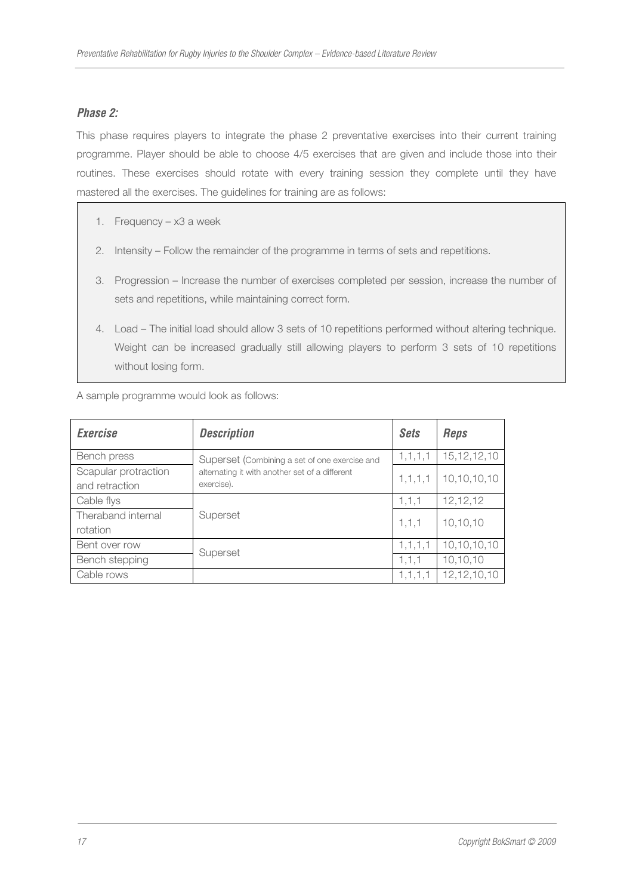# *Phase 2:*

This phase requires players to integrate the phase 2 preventative exercises into their current training programme. Player should be able to choose 4/5 exercises that are given and include those into their routines. These exercises should rotate with every training session they complete until they have mastered all the exercises. The guidelines for training are as follows:

- 1. Frequency x3 a week
- 2. Intensity Follow the remainder of the programme in terms of sets and repetitions.
- 3. Progression Increase the number of exercises completed per session, increase the number of sets and repetitions, while maintaining correct form.
- 4. Load The initial load should allow 3 sets of 10 repetitions performed without altering technique. Weight can be increased gradually still allowing players to perform 3 sets of 10 repetitions without losing form.

A sample programme would look as follows:

| <b>Exercise</b>                        | <b>Description</b>                                                                                            | <b>Sets</b> | <b>Reps</b>    |
|----------------------------------------|---------------------------------------------------------------------------------------------------------------|-------------|----------------|
| Bench press                            | Superset (Combining a set of one exercise and<br>alternating it with another set of a different<br>exercise). | 1, 1, 1, 1  | 15, 12, 12, 10 |
| Scapular protraction<br>and retraction |                                                                                                               | 1, 1, 1, 1  | 10,10,10,10    |
| Cable flys                             | Superset                                                                                                      | 1, 1, 1     | 12, 12, 12     |
| Theraband internal<br>rotation         |                                                                                                               | 1, 1, 1     | 10, 10, 10     |
| Bent over row                          |                                                                                                               | 1, 1, 1, 1  | 10,10,10,10    |
| Bench stepping                         | Superset                                                                                                      | 1, 1, 1     | 10,10,10       |
| Cable rows                             |                                                                                                               | 1, 1, 1, 1  | 12, 12, 10, 10 |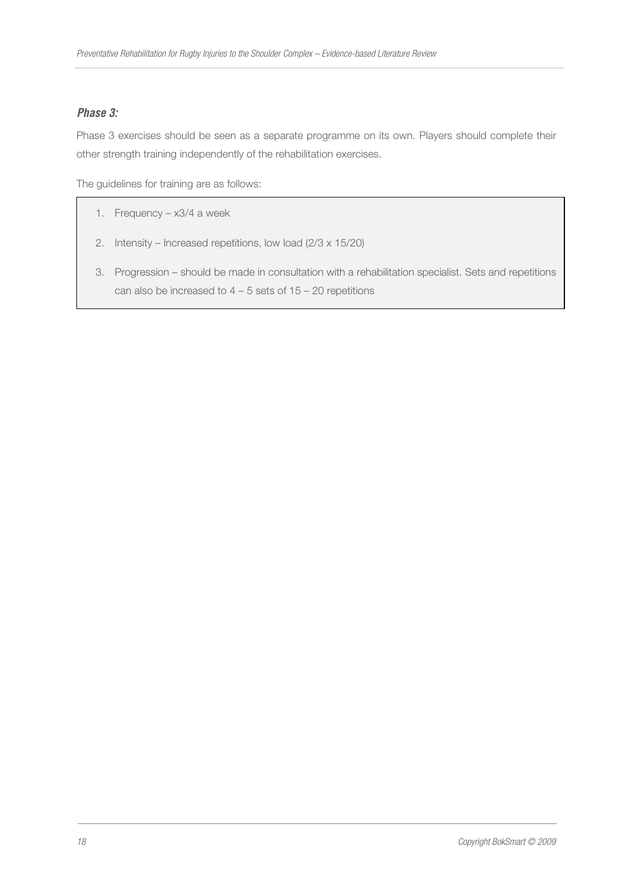# *Phase 3:*

Phase 3 exercises should be seen as a separate programme on its own. Players should complete their other strength training independently of the rehabilitation exercises.

The guidelines for training are as follows:

- 1. Frequency x3/4 a week
- 2. Intensity Increased repetitions, low load (2/3 x 15/20)
- 3. Progression should be made in consultation with a rehabilitation specialist. Sets and repetitions can also be increased to  $4 - 5$  sets of  $15 - 20$  repetitions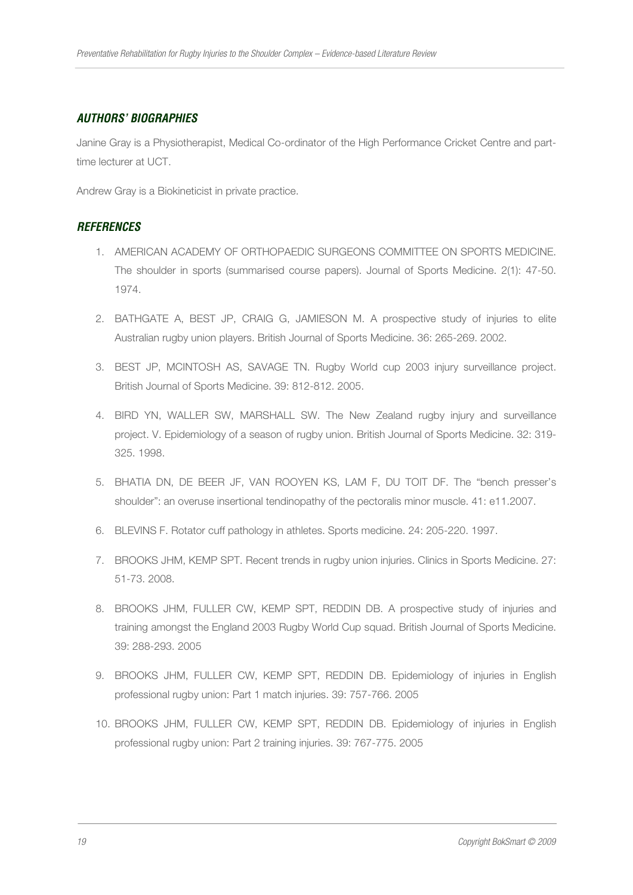## *AUTHORS' BIOGRAPHIES*

Janine Gray is a Physiotherapist, Medical Co-ordinator of the High Performance Cricket Centre and parttime lecturer at UCT.

Andrew Gray is a Biokineticist in private practice.

## *REFERENCES*

- 1. AMERICAN ACADEMY OF ORTHOPAEDIC SURGEONS COMMITTEE ON SPORTS MEDICINE. The shoulder in sports (summarised course papers). Journal of Sports Medicine. 2(1): 47-50. 1974.
- 2. BATHGATE A, BEST JP, CRAIG G, JAMIESON M. A prospective study of injuries to elite Australian rugby union players. British Journal of Sports Medicine. 36: 265-269. 2002.
- 3. BEST JP, MCINTOSH AS, SAVAGE TN. Rugby World cup 2003 injury surveillance project. British Journal of Sports Medicine. 39: 812-812. 2005.
- 4. BIRD YN, WALLER SW, MARSHALL SW. The New Zealand rugby injury and surveillance project. V. Epidemiology of a season of rugby union. British Journal of Sports Medicine. 32: 319- 325. 1998.
- 5. BHATIA DN, DE BEER JF, VAN ROOYEN KS, LAM F, DU TOIT DF. The "bench presser's shoulder": an overuse insertional tendinopathy of the pectoralis minor muscle. 41: e11.2007.
- 6. BLEVINS F. Rotator cuff pathology in athletes. Sports medicine. 24: 205-220. 1997.
- 7. BROOKS JHM, KEMP SPT. Recent trends in rugby union injuries. Clinics in Sports Medicine. 27: 51-73. 2008.
- 8. BROOKS JHM, FULLER CW, KEMP SPT, REDDIN DB. A prospective study of injuries and training amongst the England 2003 Rugby World Cup squad. British Journal of Sports Medicine. 39: 288-293. 2005
- 9. BROOKS JHM, FULLER CW, KEMP SPT, REDDIN DB. Epidemiology of injuries in English professional rugby union: Part 1 match injuries. 39: 757-766. 2005
- 10. BROOKS JHM, FULLER CW, KEMP SPT, REDDIN DB. Epidemiology of injuries in English professional rugby union: Part 2 training injuries. 39: 767-775. 2005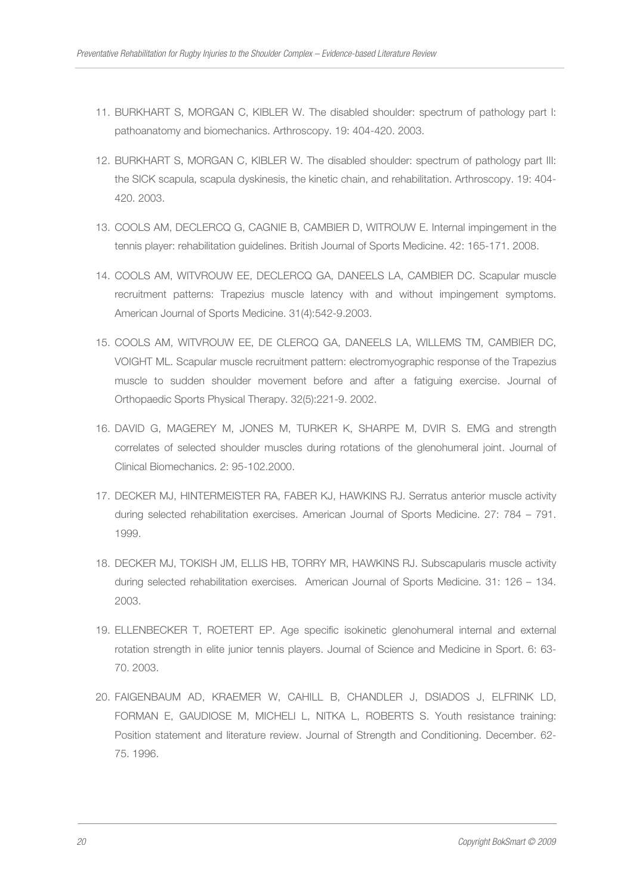- 11. BURKHART S, MORGAN C, KIBLER W. The disabled shoulder: spectrum of pathology part I: pathoanatomy and biomechanics. Arthroscopy. 19: 404-420. 2003.
- 12. BURKHART S, MORGAN C, KIBLER W. The disabled shoulder: spectrum of pathology part III: the SICK scapula, scapula dyskinesis, the kinetic chain, and rehabilitation. Arthroscopy. 19: 404- 420. 2003.
- 13. COOLS AM, DECLERCQ G, CAGNIE B, CAMBIER D, WITROUW E. Internal impingement in the tennis player: rehabilitation guidelines. British Journal of Sports Medicine. 42: 165-171. 2008.
- 14. COOLS AM, WITVROUW EE, DECLERCQ GA, DANEELS LA, CAMBIER DC. Scapular muscle recruitment patterns: Trapezius muscle latency with and without impingement symptoms. American Journal of Sports Medicine. 31(4):542-9.2003.
- 15. COOLS AM, WITVROUW EE, DE CLERCQ GA, DANEELS LA, WILLEMS TM, CAMBIER DC, VOIGHT ML. Scapular muscle recruitment pattern: electromyographic response of the Trapezius muscle to sudden shoulder movement before and after a fatiguing exercise. Journal of Orthopaedic Sports Physical Therapy. 32(5):221-9. 2002.
- 16. DAVID G, MAGEREY M, JONES M, TURKER K, SHARPE M, DVIR S. EMG and strength correlates of selected shoulder muscles during rotations of the glenohumeral joint. Journal of Clinical Biomechanics. 2: 95-102.2000.
- 17. DECKER MJ, HINTERMEISTER RA, FABER KJ, HAWKINS RJ. Serratus anterior muscle activity during selected rehabilitation exercises. American Journal of Sports Medicine. 27: 784 – 791. 1999.
- 18. DECKER MJ, TOKISH JM, ELLIS HB, TORRY MR, HAWKINS RJ. Subscapularis muscle activity during selected rehabilitation exercises. American Journal of Sports Medicine. 31: 126 – 134. 2003.
- 19. ELLENBECKER T, ROETERT EP. Age specific isokinetic glenohumeral internal and external rotation strength in elite junior tennis players. Journal of Science and Medicine in Sport. 6: 63- 70. 2003.
- 20. FAIGENBAUM AD, KRAEMER W, CAHILL B, CHANDLER J, DSIADOS J, ELFRINK LD, FORMAN E, GAUDIOSE M, MICHELI L, NITKA L, ROBERTS S. Youth resistance training: Position statement and literature review. Journal of Strength and Conditioning. December. 62- 75. 1996.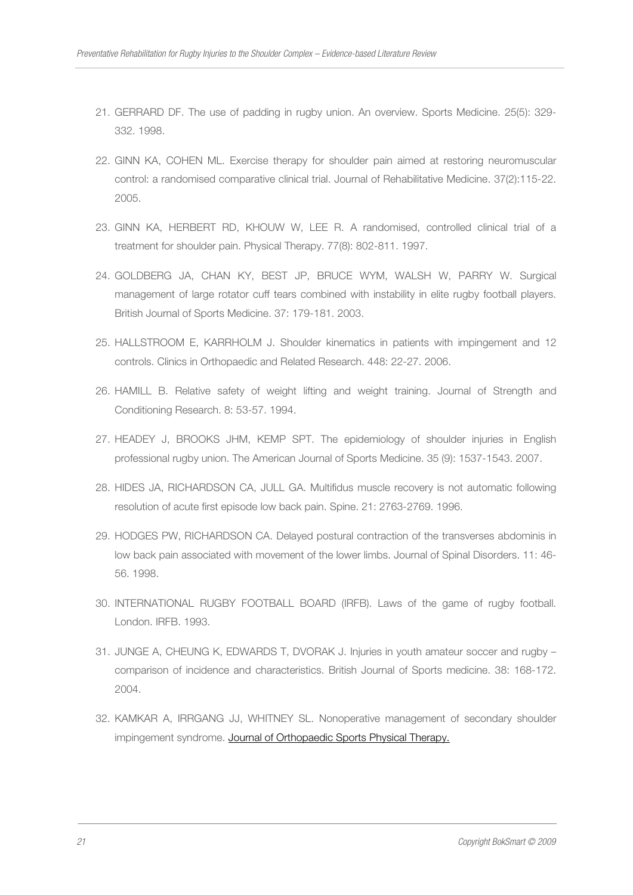- 21. GERRARD DF. The use of padding in rugby union. An overview. Sports Medicine. 25(5): 329- 332. 1998.
- 22. GINN KA, COHEN ML. Exercise therapy for shoulder pain aimed at restoring neuromuscular control: a randomised comparative clinical trial. Journal of Rehabilitative Medicine. 37(2):115-22. 2005.
- 23. GINN KA, HERBERT RD, KHOUW W, LEE R. A randomised, controlled clinical trial of a treatment for shoulder pain. Physical Therapy. 77(8): 802-811. 1997.
- 24. GOLDBERG JA, CHAN KY, BEST JP, BRUCE WYM, WALSH W, PARRY W. Surgical management of large rotator cuff tears combined with instability in elite rugby football players. British Journal of Sports Medicine. 37: 179-181. 2003.
- 25. HALLSTROOM E, KARRHOLM J. Shoulder kinematics in patients with impingement and 12 controls. Clinics in Orthopaedic and Related Research. 448: 22-27. 2006.
- 26. HAMILL B. Relative safety of weight lifting and weight training. Journal of Strength and Conditioning Research. 8: 53-57. 1994.
- 27. HEADEY J, BROOKS JHM, KEMP SPT. The epidemiology of shoulder injuries in English professional rugby union. The American Journal of Sports Medicine. 35 (9): 1537-1543. 2007.
- 28. HIDES JA, RICHARDSON CA, JULL GA. Multifidus muscle recovery is not automatic following resolution of acute first episode low back pain. Spine. 21: 2763-2769. 1996.
- 29. HODGES PW, RICHARDSON CA. Delayed postural contraction of the transverses abdominis in low back pain associated with movement of the lower limbs. Journal of Spinal Disorders. 11: 46- 56. 1998.
- 30. INTERNATIONAL RUGBY FOOTBALL BOARD (IRFB). Laws of the game of rugby football. London. IRFB. 1993.
- 31. JUNGE A, CHEUNG K, EDWARDS T, DVORAK J. Injuries in youth amateur soccer and rugby comparison of incidence and characteristics. British Journal of Sports medicine. 38: 168-172. 2004.
- 32. KAMKAR A, IRRGANG JJ, WHITNEY SL. Nonoperative management of secondary shoulder impingement syndrome. Journal of Orthopaedic Sports Physical Therapy.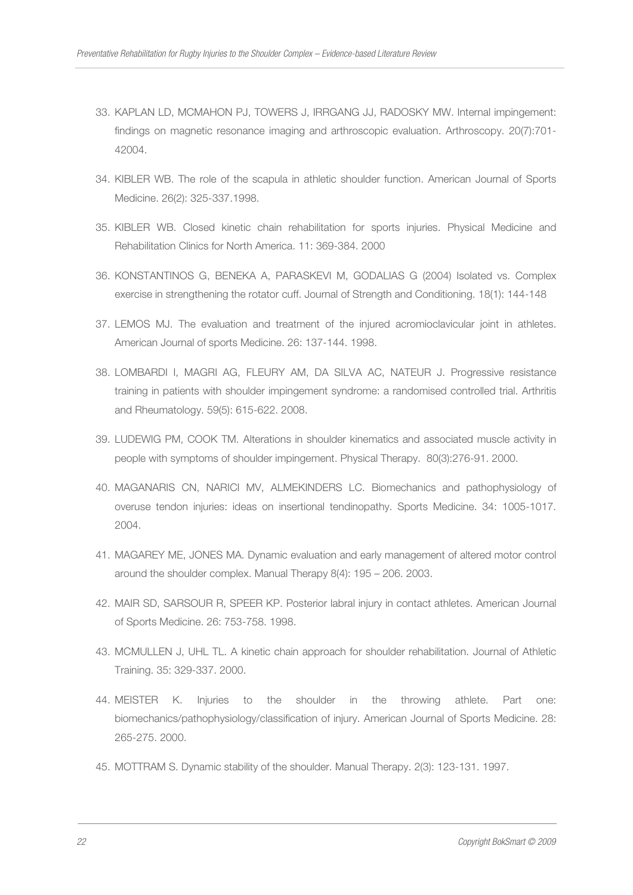- 33. KAPLAN LD, MCMAHON PJ, TOWERS J, IRRGANG JJ, RADOSKY MW. Internal impingement: findings on magnetic resonance imaging and arthroscopic evaluation. Arthroscopy. 20(7):701- 42004.
- 34. KIBLER WB. The role of the scapula in athletic shoulder function. American Journal of Sports Medicine. 26(2): 325-337.1998.
- 35. KIBLER WB. Closed kinetic chain rehabilitation for sports injuries. Physical Medicine and Rehabilitation Clinics for North America. 11: 369-384. 2000
- 36. KONSTANTINOS G, BENEKA A, PARASKEVI M, GODALIAS G (2004) Isolated vs. Complex exercise in strengthening the rotator cuff. Journal of Strength and Conditioning. 18(1): 144-148
- 37. LEMOS MJ. The evaluation and treatment of the injured acromioclavicular joint in athletes. American Journal of sports Medicine. 26: 137-144. 1998.
- 38. LOMBARDI I, MAGRI AG, FLEURY AM, DA SILVA AC, NATEUR J. Progressive resistance training in patients with shoulder impingement syndrome: a randomised controlled trial. Arthritis and Rheumatology. 59(5): 615-622. 2008.
- 39. LUDEWIG PM, COOK TM. Alterations in shoulder kinematics and associated muscle activity in people with symptoms of shoulder impingement. Physical Therapy. 80(3):276-91. 2000.
- 40. MAGANARIS CN, NARICI MV, ALMEKINDERS LC. Biomechanics and pathophysiology of overuse tendon injuries: ideas on insertional tendinopathy. Sports Medicine. 34: 1005-1017. 2004.
- 41. MAGAREY ME, JONES MA. Dynamic evaluation and early management of altered motor control around the shoulder complex. Manual Therapy 8(4): 195 – 206. 2003.
- 42. MAIR SD, SARSOUR R, SPEER KP. Posterior labral injury in contact athletes. American Journal of Sports Medicine. 26: 753-758. 1998.
- 43. MCMULLEN J, UHL TL. A kinetic chain approach for shoulder rehabilitation. Journal of Athletic Training. 35: 329-337. 2000.
- 44. MEISTER K. Injuries to the shoulder in the throwing athlete. Part one: biomechanics/pathophysiology/classification of injury. American Journal of Sports Medicine. 28: 265-275. 2000.
- 45. MOTTRAM S. Dynamic stability of the shoulder. Manual Therapy. 2(3): 123-131. 1997.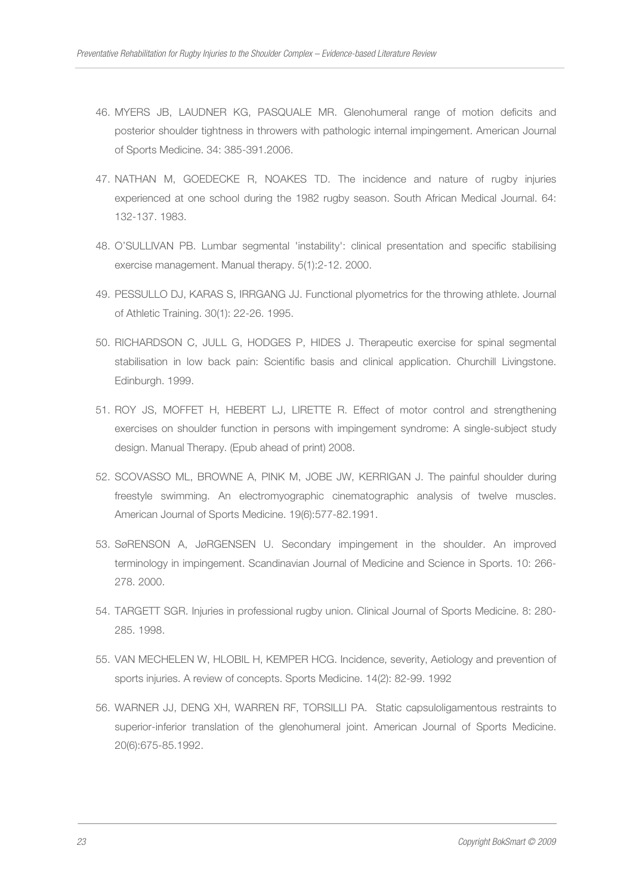- 46. MYERS JB, LAUDNER KG, PASQUALE MR. Glenohumeral range of motion deficits and posterior shoulder tightness in throwers with pathologic internal impingement. American Journal of Sports Medicine. 34: 385-391.2006.
- 47. NATHAN M, GOEDECKE R, NOAKES TD. The incidence and nature of rugby injuries experienced at one school during the 1982 rugby season. South African Medical Journal. 64: 132-137. 1983.
- 48. O'SULLIVAN PB. Lumbar segmental 'instability': clinical presentation and specific stabilising exercise management. Manual therapy. 5(1):2-12. 2000.
- 49. PESSULLO DJ, KARAS S, IRRGANG JJ. Functional plyometrics for the throwing athlete. Journal of Athletic Training. 30(1): 22-26. 1995.
- 50. RICHARDSON C, JULL G, HODGES P, HIDES J. Therapeutic exercise for spinal segmental stabilisation in low back pain: Scientific basis and clinical application. Churchill Livingstone. Edinburgh. 1999.
- 51. ROY JS, MOFFET H, HEBERT LJ, LIRETTE R. Effect of motor control and strengthening exercises on shoulder function in persons with impingement syndrome: A single-subject study design. Manual Therapy. (Epub ahead of print) 2008.
- 52. SCOVASSO ML, BROWNE A, PINK M, JOBE JW, KERRIGAN J. The painful shoulder during freestyle swimming. An electromyographic cinematographic analysis of twelve muscles. American Journal of Sports Medicine. 19(6):577-82.1991.
- 53. SøRENSON A, JøRGENSEN U. Secondary impingement in the shoulder. An improved terminology in impingement. Scandinavian Journal of Medicine and Science in Sports. 10: 266- 278. 2000.
- 54. TARGETT SGR. Injuries in professional rugby union. Clinical Journal of Sports Medicine. 8: 280- 285. 1998.
- 55. VAN MECHELEN W, HLOBIL H, KEMPER HCG. Incidence, severity, Aetiology and prevention of sports injuries. A review of concepts. Sports Medicine. 14(2): 82-99. 1992
- 56. WARNER JJ, DENG XH, WARREN RF, TORSILLI PA. Static capsuloligamentous restraints to superior-inferior translation of the glenohumeral joint. American Journal of Sports Medicine. 20(6):675-85.1992.